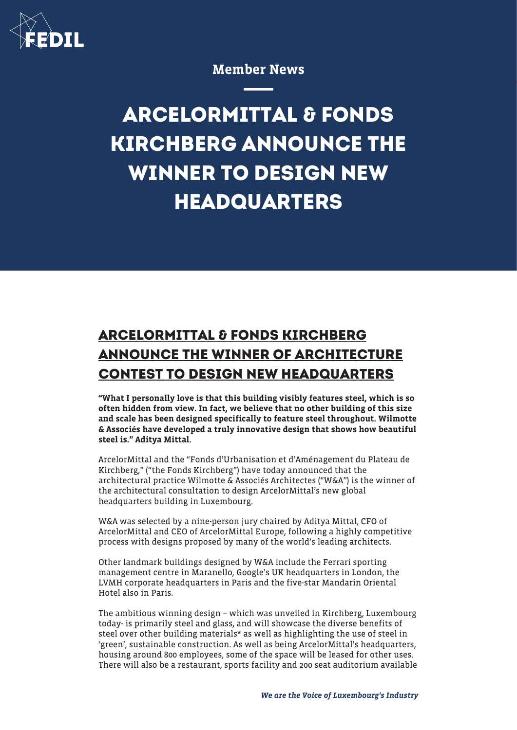

Member News

## **ARCELORMITTAL & FONDS KIRCHBERG ANNOUNCE THE WINNER TO DESIGN NEW HEADQUARTERS**

## **ARCELORMITTAL & FONDS KIRCHBERG ANNOUNCE THE WINNER OF ARCHITECTURE CONTEST TO DESIGN NEW HEADQUARTERS**

"What I personally love is that this building visibly features steel, which is so often hidden from view. In fact, we believe that no other building of this size and scale has been designed specifically to feature steel throughout. Wilmotte & Associés have developed a truly innovative design that shows how beautiful steel is." Aditya Mittal.

ArcelorMittal and the "Fonds d'Urbanisation et d'Aménagement du Plateau de Kirchberg," ("the Fonds Kirchberg") have today announced that the architectural practice Wilmotte & Associés Architectes ("W&A") is the winner of the architectural consultation to design ArcelorMittal's new global headquarters building in Luxembourg.

W&A was selected by a nine-person jury chaired by Aditya Mittal, CFO of ArcelorMittal and CEO of ArcelorMittal Europe, following a highly competitive process with designs proposed by many of the world's leading architects.

Other landmark buildings designed by W&A include the Ferrari sporting management centre in Maranello, Google's UK headquarters in London, the LVMH corporate headquarters in Paris and the five-star Mandarin Oriental Hotel also in Paris.

The ambitious winning design – which was unveiled in Kirchberg, Luxembourg today- is primarily steel and glass, and will showcase the diverse benefits of steel over other building materials\* as well as highlighting the use of steel in 'green', sustainable construction. As well as being ArcelorMittal's headquarters, housing around 800 employees, some of the space will be leased for other uses. There will also be a restaurant, sports facility and 200 seat auditorium available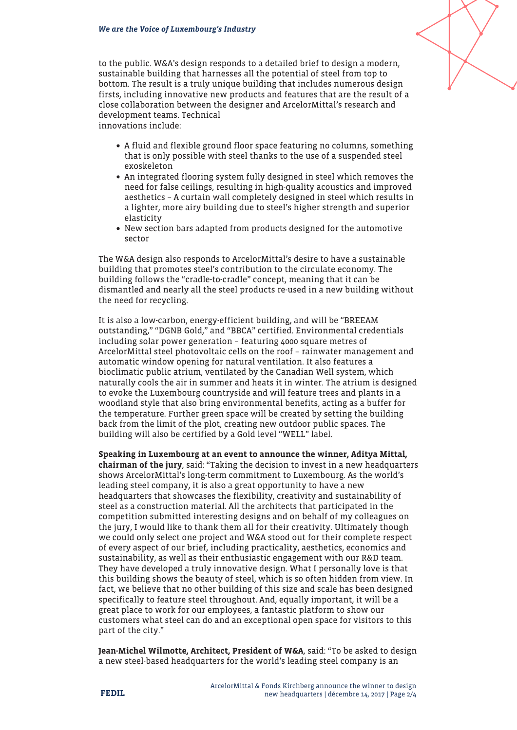to the public. W&A's design responds to a detailed brief to design a modern, sustainable building that harnesses all the potential of steel from top to bottom. The result is a truly unique building that includes numerous design firsts, including innovative new products and features that are the result of a close collaboration between the designer and ArcelorMittal's research and development teams. Technical

innovations include:

- A fluid and flexible ground floor space featuring no columns, something that is only possible with steel thanks to the use of a suspended steel exoskeleton
- An integrated flooring system fully designed in steel which removes the need for false ceilings, resulting in high-quality acoustics and improved aesthetics – A curtain wall completely designed in steel which results in a lighter, more airy building due to steel's higher strength and superior elasticity
- New section bars adapted from products designed for the automotive sector

The W&A design also responds to ArcelorMittal's desire to have a sustainable building that promotes steel's contribution to the circulate economy. The building follows the "cradle-to-cradle" concept, meaning that it can be dismantled and nearly all the steel products re-used in a new building without the need for recycling.

It is also a low-carbon, energy-efficient building, and will be "BREEAM outstanding," "DGNB Gold," and "BBCA" certified. Environmental credentials including solar power generation – featuring 4000 square metres of ArcelorMittal steel photovoltaic cells on the roof – rainwater management and automatic window opening for natural ventilation. It also features a bioclimatic public atrium, ventilated by the Canadian Well system, which naturally cools the air in summer and heats it in winter. The atrium is designed to evoke the Luxembourg countryside and will feature trees and plants in a woodland style that also bring environmental benefits, acting as a buffer for the temperature. Further green space will be created by setting the building back from the limit of the plot, creating new outdoor public spaces. The building will also be certified by a Gold level "WELL" label.

Speaking in Luxembourg at an event to announce the winner, Aditya Mittal, chairman of the jury, said: "Taking the decision to invest in a new headquarters shows ArcelorMittal's long-term commitment to Luxembourg. As the world's leading steel company, it is also a great opportunity to have a new headquarters that showcases the flexibility, creativity and sustainability of steel as a construction material. All the architects that participated in the competition submitted interesting designs and on behalf of my colleagues on the jury, I would like to thank them all for their creativity. Ultimately though we could only select one project and W&A stood out for their complete respect of every aspect of our brief, including practicality, aesthetics, economics and sustainability, as well as their enthusiastic engagement with our R&D team. They have developed a truly innovative design. What I personally love is that this building shows the beauty of steel, which is so often hidden from view. In fact, we believe that no other building of this size and scale has been designed specifically to feature steel throughout. And, equally important, it will be a great place to work for our employees, a fantastic platform to show our customers what steel can do and an exceptional open space for visitors to this part of the city."

Jean-Michel Wilmotte, Architect, President of W&A, said: "To be asked to design a new steel-based headquarters for the world's leading steel company is an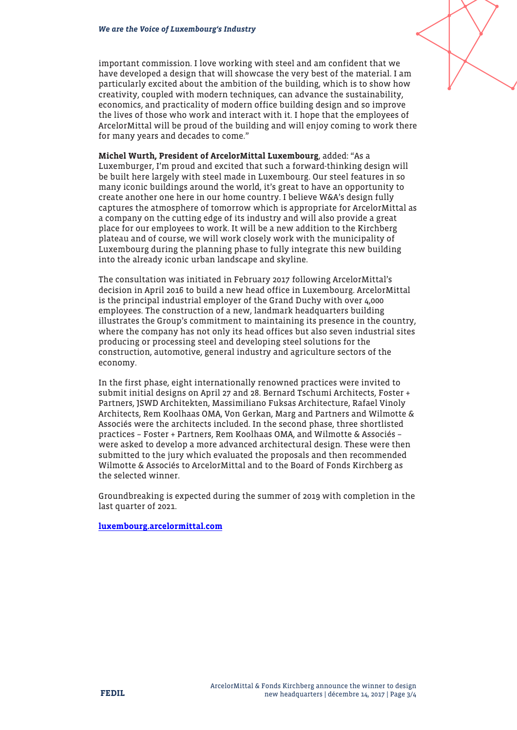important commission. I love working with steel and am confident that we have developed a design that will showcase the very best of the material. I am particularly excited about the ambition of the building, which is to show how creativity, coupled with modern techniques, can advance the sustainability, economics, and practicality of modern office building design and so improve the lives of those who work and interact with it. I hope that the employees of ArcelorMittal will be proud of the building and will enjoy coming to work there for many years and decades to come."

Michel Wurth, President of ArcelorMittal Luxembourg, added: "As a Luxemburger, I'm proud and excited that such a forward-thinking design will be built here largely with steel made in Luxembourg. Our steel features in so many iconic buildings around the world, it's great to have an opportunity to create another one here in our home country. I believe W&A's design fully captures the atmosphere of tomorrow which is appropriate for ArcelorMittal as a company on the cutting edge of its industry and will also provide a great place for our employees to work. It will be a new addition to the Kirchberg plateau and of course, we will work closely work with the municipality of Luxembourg during the planning phase to fully integrate this new building into the already iconic urban landscape and skyline.

The consultation was initiated in February 2017 following ArcelorMittal's decision in April 2016 to build a new head office in Luxembourg. ArcelorMittal is the principal industrial employer of the Grand Duchy with over 4,000 employees. The construction of a new, landmark headquarters building illustrates the Group's commitment to maintaining its presence in the country, where the company has not only its head offices but also seven industrial sites producing or processing steel and developing steel solutions for the construction, automotive, general industry and agriculture sectors of the economy.

In the first phase, eight internationally renowned practices were invited to submit initial designs on April 27 and 28. Bernard Tschumi Architects, Foster + Partners, JSWD Architekten, Massimiliano Fuksas Architecture, Rafael Vinoly Architects, Rem Koolhaas OMA, Von Gerkan, Marg and Partners and Wilmotte & Associés were the architects included. In the second phase, three shortlisted practices – Foster + Partners, Rem Koolhaas OMA, and Wilmotte & Associés – were asked to develop a more advanced architectural design. These were then submitted to the jury which evaluated the proposals and then recommended Wilmotte & Associés to ArcelorMittal and to the Board of Fonds Kirchberg as the selected winner.

Groundbreaking is expected during the summer of 2019 with completion in the last quarter of 2021.

[luxembourg.arcelormittal.com](http://luxembourg.arcelormittal.com)